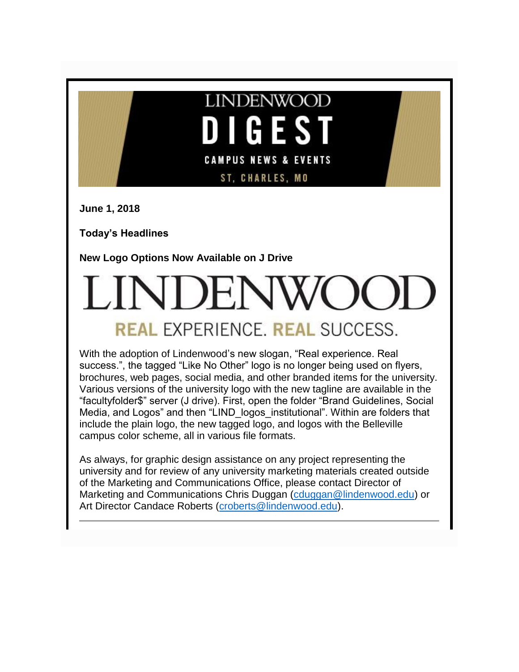

**June 1, 2018**

**Today's Headlines**

**New Logo Options Now Available on J Drive**

# **REAL EXPERIENCE. REAL SUCCESS.**

With the adoption of Lindenwood's new slogan, "Real experience. Real success.", the tagged "Like No Other" logo is no longer being used on flyers, brochures, web pages, social media, and other branded items for the university. Various versions of the university logo with the new tagline are available in the "facultyfolder\$" server (J drive). First, open the folder "Brand Guidelines, Social Media, and Logos" and then "LIND logos institutional". Within are folders that include the plain logo, the new tagged logo, and logos with the Belleville campus color scheme, all in various file formats.

As always, for graphic design assistance on any project representing the university and for review of any university marketing materials created outside of the Marketing and Communications Office, please contact Director of Marketing and Communications Chris Duggan [\(cduggan@lindenwood.edu\)](mailto:cduggan@lindenwood.edu) or Art Director Candace Roberts [\(croberts@lindenwood.edu\)](mailto:croberts@lindenwood.edu).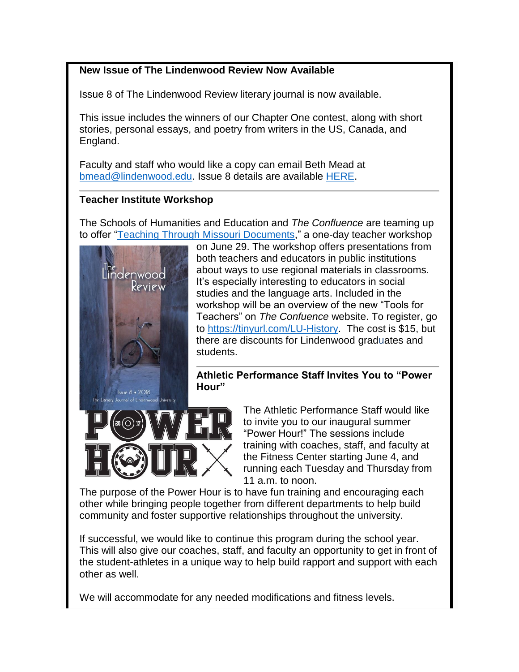# **New Issue of The Lindenwood Review Now Available**

Issue 8 of The Lindenwood Review literary journal is now available.

This issue includes the winners of our Chapter One contest, along with short stories, personal essays, and poetry from writers in the US, Canada, and England.

Faculty and staff who would like a copy can email Beth Mead at [bmead@lindenwood.edu.](mailto:bmead@lindenwood.edu) Issue 8 details are available [HERE.](http://www.lindenwood.edu/academics/beyond-the-classroom/publications/the-lindenwood-review/issue-8-2018/)

# **Teacher Institute Workshop**

The Schools of Humanities and Education and *The Confluence* are teaming up to offer ["Teaching Through Missouri Documents,](http://felix.lindenwood.edu/newsletter/2018_06/historyworkshop.pdf)" a one-day teacher workshop



on June 29. The workshop offers presentations from both teachers and educators in public institutions about ways to use regional materials in classrooms. It's especially interesting to educators in social studies and the language arts. Included in the workshop will be an overview of the new "Tools for Teachers" on *The Confuence* website. To register, go to [https://tinyurl.com/LU-History.](https://tinyurl.com/LU-History) The cost is \$15, but there are discounts for Lindenwood graduates and students.

**Athletic Performance Staff Invites You to "Power Hour"**



The Athletic Performance Staff would like to invite you to our inaugural summer "Power Hour!" The sessions include training with coaches, staff, and faculty at the Fitness Center starting June 4, and running each Tuesday and Thursday from 11 a.m. to noon.

The purpose of the Power Hour is to have fun training and encouraging each other while bringing people together from different departments to help build community and foster supportive relationships throughout the university.

If successful, we would like to continue this program during the school year. This will also give our coaches, staff, and faculty an opportunity to get in front of the student-athletes in a unique way to help build rapport and support with each other as well.

We will accommodate for any needed modifications and fitness levels.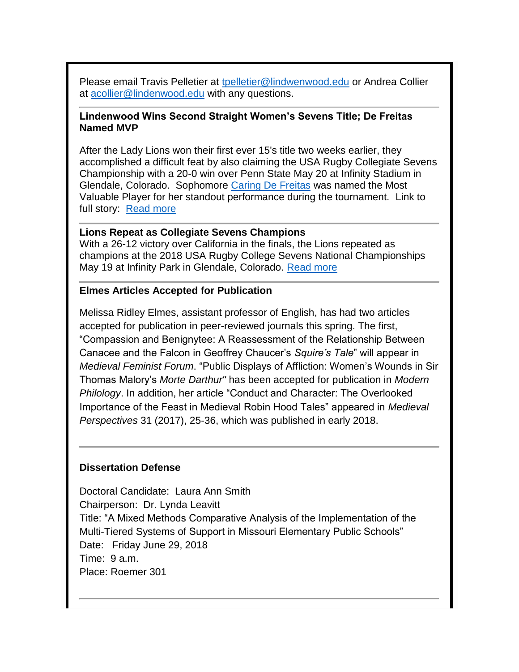Please email Travis Pelletier at [tpelletier@lindwenwood.edu](mailto:tpelletier@lindwenwood.edu) or Andrea Collier at [acollier@lindenwood.edu](mailto:acollier@lindenwood.edu) with any questions.

#### **Lindenwood Wins Second Straight Women's Sevens Title; De Freitas Named MVP**

After the Lady Lions won their first ever 15's title two weeks earlier, they accomplished a difficult feat by also claiming the USA Rugby Collegiate Sevens Championship with a 20-0 win over Penn State May 20 at Infinity Stadium in Glendale, Colorado. Sophomore [Caring De Freitas](http://lindenwoodlionssls.com/roster.aspx?rp_id=10965) was named the Most Valuable Player for her standout performance during the tournament. Link to full story: [Read more](http://lindenwoodlionssls.com/news/2018/5/21/womens-rugby-lindenwood-wins-second-straight-womens-sevens-title-de-freitas-named-mvp.aspx?path=wrugby)

#### **Lions Repeat as Collegiate Sevens Champions**

With a 26-12 victory over California in the finals, the Lions repeated as champions at the 2018 USA Rugby College Sevens National Championships May 19 at Infinity Park in Glendale, Colorado. [Read more](http://lindenwoodlionssls.com/news/2018/5/21/mens-rugby-lions-repeat-as-collegiate-sevens-champions.aspx?path=mrugby)

#### **Elmes Articles Accepted for Publication**

Melissa Ridley Elmes, assistant professor of English, has had two articles accepted for publication in peer-reviewed journals this spring. The first, "Compassion and Benignytee: A Reassessment of the Relationship Between Canacee and the Falcon in Geoffrey Chaucer's *Squire's Tale*" will appear in *Medieval Feminist Forum*. "Public Displays of Affliction: Women's Wounds in Sir Thomas Malory's *Morte Darthur"* has been accepted for publication in *Modern Philology*. In addition, her article "Conduct and Character: The Overlooked Importance of the Feast in Medieval Robin Hood Tales" appeared in *Medieval Perspectives* 31 (2017), 25-36, which was published in early 2018.

### **Dissertation Defense**

Doctoral Candidate: Laura Ann Smith Chairperson: Dr. Lynda Leavitt Title: "A Mixed Methods Comparative Analysis of the Implementation of the Multi-Tiered Systems of Support in Missouri Elementary Public Schools" Date: Friday June 29, 2018 Time: 9 a.m. Place: Roemer 301